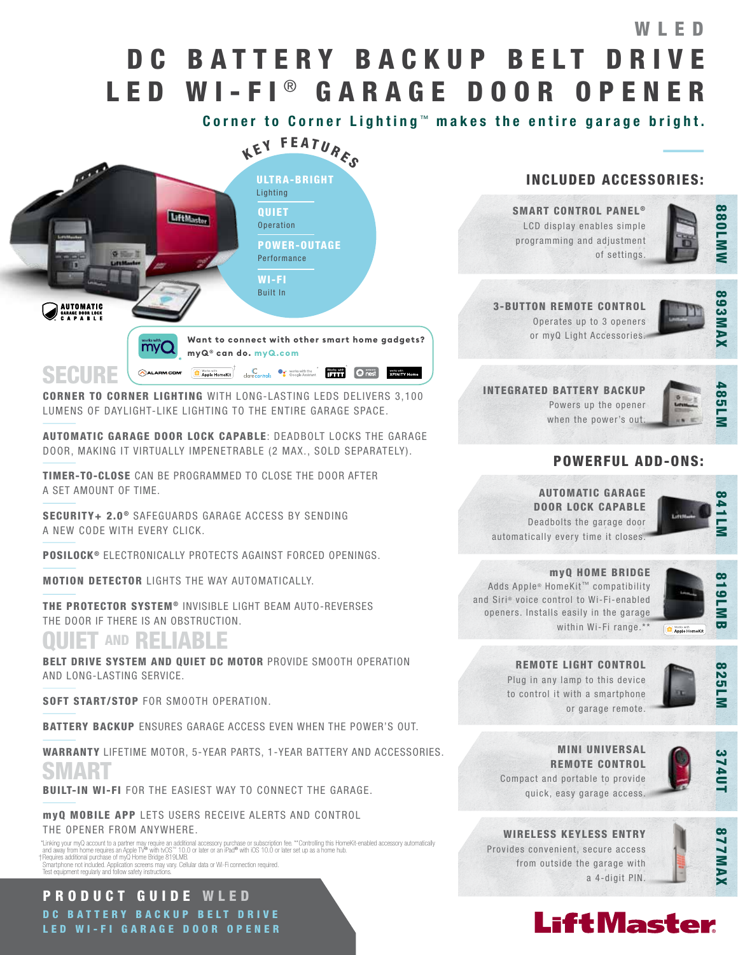# DC BATTERY BACKUP BELT DRIVE LED WI-FI® GARAGE DOOR OPENER WLED

Corner to Corner Lighting ™ makes the entire garage bright.



CORNER TO CORNER LIGHTING WITH LONG-LASTING LEDS DELIVERS 3,100 LUMENS OF DAYLIGHT-LIKE LIGHTING TO THE ENTIRE GARAGE SPACE.

AUTOMATIC GARAGE DOOR LOCK CAPABLE: DEADBOLT LOCKS THE GARAGE DOOR, MAKING IT VIRTUALLY IMPENETRABLE (2 MAX., SOLD SEPARATELY).

TIMER-TO-CLOSE CAN BE PROGRAMMED TO CLOSE THE DOOR AFTER A SET AMOUNT OF TIME.

SECURITY+ 2.0<sup>®</sup> SAFEGUARDS GARAGE ACCESS BY SENDING A NEW CODE WITH EVERY CLICK.

POSILOCK<sup>®</sup> ELECTRONICALLY PROTECTS AGAINST FORCED OPENINGS.

MOTION DETECTOR LIGHTS THE WAY AUTOMATICALLY.

THE PROTECTOR SYSTEM<sup>®</sup> INVISIBLE LIGHT BEAM AUTO-REVERSES THE DOOR IF THERE IS AN OBSTRUCTION.

## QUIET AND RELIABLE

BELT DRIVE SYSTEM AND QUIET DC MOTOR PROVIDE SMOOTH OPERATION AND LONG-LASTING SERVICE.

SOFT START/STOP FOR SMOOTH OPERATION.

BATTERY BACKUP ENSURES GARAGE ACCESS EVEN WHEN THE POWER'S OUT.

WARRANTY LIFETIME MOTOR, 5-YEAR PARTS, 1-YEAR BATTERY AND ACCESSORIES. SMART

BUILT-IN WI-FI FOR THE EASIEST WAY TO CONNECT THE GARAGE.

myQ MOBILE APP LETS USERS RECEIVE ALERTS AND CONTROL THE OPENER FROM ANYWHERE.

"Linking your myQ account to a partner may require an additional accessory purchase or subscription fee. \*\*Controlling this HomeKit-enabled accessory automatically<br>and away from home requires an Apple TV® with vOS" \*10.0 o Smartphone not included. Application screens may vary. Cellular data or Wi-Ficonnection required. Test equipment regularly and follow safety instructions.

## PRODUCT GUIDE WLED DC BATTERY BACKUP BELT DRIVE LED WI-FI GARAGE DOOR OPENER

## INCLUDED ACCESSORIES:

SMART CONTROL PANEL<sup>®</sup> LCD display enables simple programming and adjustment of settings.



## 3-BUTTON REMOTE CONTROL

Operates up to 3 openers or myQ Light Accessories.



INTEGRATED BATTERY BACKUP Powers up the opener when the power's out.



## POWERFUL ADD-ONS:

AUTOMATIC GARAGE DOOR LOCK CAPABLE Deadbolts the garage door automatically every time it closes.



myQ HOME BRIDGE Adds Apple® HomeKit™ compatibility and Siri® voice control to Wi-Fi-enabled openers. Installs easily in the garage within Wi-Fi range.\*\*



REMOTE LIGHT CONTROL Plug in any lamp to this device to control it with a smartphone or garage remote.







374UT

WIRELESS KEYLESS ENTRY Provides convenient, secure access from outside the garage with





a 4-digit PIN.